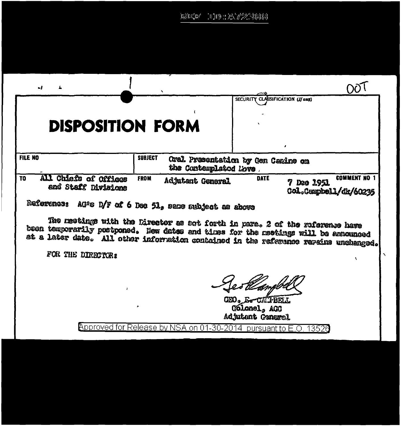$\mathbb{E} \mathbb{E} \mathbb{E} \mathbb{E} \mathbb{P}^* = \mathbb{E} \mathbb{H} \mathbb{E} \mathbb{E} \mathbb{E} \mathbb{E} \mathbb{E} \mathbb{E} \mathbb{E} \mathbb{E} \mathbb{E} \mathbb{E} \mathbb{E} \mathbb{E} \mathbb{E} \mathbb{E} \mathbb{E} \mathbb{E} \mathbb{E} \mathbb{E} \mathbb{E} \mathbb{E} \mathbb{E} \mathbb{E} \mathbb{E} \mathbb{E} \mathbb{E} \mathbb{E} \mathbb{E} \mathbb{E} \mathbb{E} \$ 

| - 1                                                                                                                                                                        |                                                                   |                                                                              |                                              |
|----------------------------------------------------------------------------------------------------------------------------------------------------------------------------|-------------------------------------------------------------------|------------------------------------------------------------------------------|----------------------------------------------|
|                                                                                                                                                                            |                                                                   | SECURITY CLASSIFICATION (If any)                                             |                                              |
| <b>DISPOSITION FORM</b>                                                                                                                                                    |                                                                   |                                                                              |                                              |
| <b>FILE NO</b>                                                                                                                                                             | <b>SUBJECT</b><br>the Contemplated Love .                         | Oral Presentation by Cen Canire on                                           |                                              |
| All Chiefs of Offices<br>T <sub>0</sub><br>and Staff Divisions                                                                                                             | <b>FROM</b><br>Adjutant General                                   | <b>DATE</b><br>7 Dec 1951                                                    | <b>COMMENT NO 1</b><br>Col.Campbell/dk/60235 |
| Raference: AG's D/F of 6 Dec 51, same subject as above                                                                                                                     |                                                                   |                                                                              |                                              |
| been temporarily postponed. New dates and times for the meetings will be announced<br>at a later date. All other information contained in the reference remains unshanged. |                                                                   | The neetings with the Director as sot forth in pare. 2 of the reference have |                                              |
| FOR THE DIRECTOR:                                                                                                                                                          |                                                                   |                                                                              |                                              |
|                                                                                                                                                                            |                                                                   |                                                                              |                                              |
|                                                                                                                                                                            |                                                                   | GEO. G. CALFBELL<br>Golonel, AGO<br>Adjutant Ceneral                         |                                              |
|                                                                                                                                                                            | <u>Approved for Release by NSA on 01-30-2014 pursuant to E.O.</u> |                                                                              |                                              |
|                                                                                                                                                                            |                                                                   |                                                                              |                                              |

 $\overline{\phantom{0}}$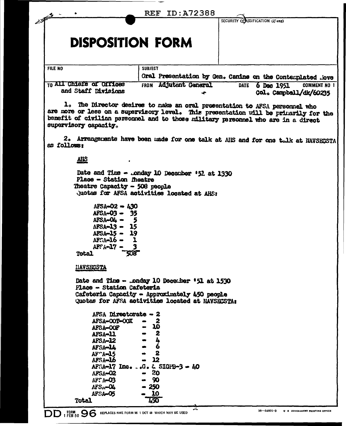|                                                                                                                                                                                                                                                                                  | <b>REF ID: A72388</b>                                |                                                            |                                               |
|----------------------------------------------------------------------------------------------------------------------------------------------------------------------------------------------------------------------------------------------------------------------------------|------------------------------------------------------|------------------------------------------------------------|-----------------------------------------------|
|                                                                                                                                                                                                                                                                                  |                                                      | SECURITY CONSSIFICATION (If any)                           |                                               |
| <b>DISPOSITION FORM</b>                                                                                                                                                                                                                                                          |                                                      |                                                            |                                               |
| FILE NO                                                                                                                                                                                                                                                                          | <b>SUBJECT</b>                                       |                                                            |                                               |
|                                                                                                                                                                                                                                                                                  |                                                      | Oral Presentation by Gen. Canine on the Contemplated .iove |                                               |
| <b>TO All Chiefs of Offices</b><br>and Staff Divisions                                                                                                                                                                                                                           | FROM Adjutant General                                | 6 Dec 1951<br><b>DATE</b>                                  | <b>COMMENT NO 1</b><br>Col. Campbell/dk/60235 |
| 1. The Director decires to make an oral presentation to AFSA personnel who<br>are more or less on a supervisory level. This presentation will be primarily for the<br>benefit of civilian personnel and to those military personnel who are in a direct<br>supervisory capacity. |                                                      |                                                            |                                               |
| 2. Arrangements have boen made for one talk at AIS and for one talk at NAVSECSTA<br>as follows:                                                                                                                                                                                  |                                                      |                                                            |                                               |
| <b>AHS</b>                                                                                                                                                                                                                                                                       |                                                      |                                                            |                                               |
| Date and Time - .onday 10 December '52 at 1330<br>Place - Station meatre<br>Theatre Capacity - 508 people<br>Juotas for AFSA activities located at AHS:                                                                                                                          |                                                      |                                                            |                                               |
| AFSA-02 - 430<br>$AFSA-03 - 35$<br>$AFSA-O4 -$<br>- 5<br>APSA-13 - 15<br>APSA-15 - 19<br>$AE: \Lambda = 16$ $-$<br>$\mathbf{L}$<br>AFSA-17.<br>508<br><b>Total</b>                                                                                                               |                                                      |                                                            |                                               |
| iiavsecsta                                                                                                                                                                                                                                                                       |                                                      |                                                            |                                               |
| Date and Time - Londay 10 December '51 at 1530<br>Place - Station Cafeteria                                                                                                                                                                                                      |                                                      |                                                            |                                               |
| Cafeteria Capacity - Approximately 450 people<br>Quotes for AFSA activities located at NAVSECSTA:                                                                                                                                                                                |                                                      |                                                            |                                               |
| AFSA Directorate - 2<br>AFSA-OOT-OOX<br>afsa-oof                                                                                                                                                                                                                                 | 2<br>10                                              |                                                            |                                               |
| AFSA-11<br><b>AFSA-12</b><br>AFSA-LL                                                                                                                                                                                                                                             | $\boldsymbol{2}$<br>4<br>6<br>$\mathbf{2}$           |                                                            |                                               |
| AF <sub>15</sub><br>AFSA-16<br><b>APSA-02</b>                                                                                                                                                                                                                                    | - 12<br>AF5A-17 Inc. G. $\&$ SIGFB-3 - $100$<br>- 20 |                                                            |                                               |
| $W: A = 03$<br>AFS <sub>1</sub> -04<br>AFSA-05                                                                                                                                                                                                                                   | - 90<br>- 250<br>10                                  |                                                            |                                               |
| <b>Total</b>                                                                                                                                                                                                                                                                     | I50                                                  |                                                            |                                               |

 $-$